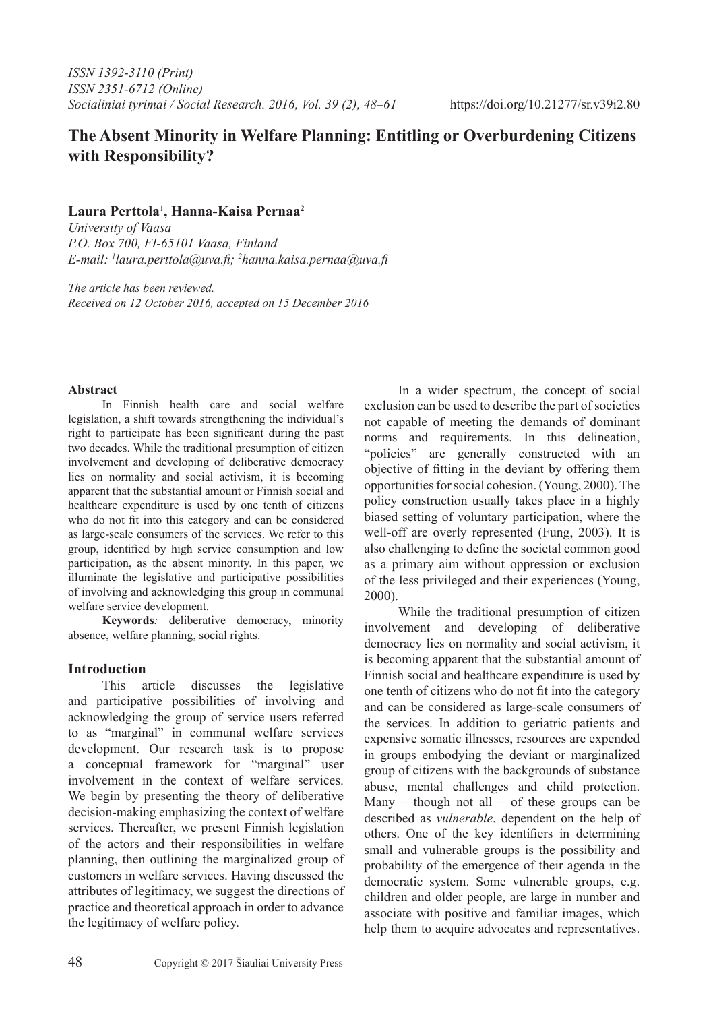# **The Absent Minority in Welfare Planning: Entitling or Overburdening Citizens with Responsibility?**

## **Laura Perttola**<sup>1</sup> **, Hanna-Kaisa Pernaa2**

*University of Vaasa P.O. Box 700, FI-65101 Vaasa, Finland E-mail: 1 laura.perttola@uva.fi; <sup>2</sup> hanna.kaisa.pernaa@uva.fi* 

*The article has been reviewed. Received on 12 October 2016, accepted on 15 December 2016*

### **Abstract**

In Finnish health care and social welfare legislation, a shift towards strengthening the individual's right to participate has been significant during the past two decades. While the traditional presumption of citizen involvement and developing of deliberative democracy lies on normality and social activism, it is becoming apparent that the substantial amount or Finnish social and healthcare expenditure is used by one tenth of citizens who do not fit into this category and can be considered as large-scale consumers of the services. We refer to this group, identified by high service consumption and low participation, as the absent minority. In this paper, we illuminate the legislative and participative possibilities of involving and acknowledging this group in communal welfare service development.

**Keywords***:* deliberative democracy, minority absence, welfare planning, social rights.

## **Introduction**

This article discusses the legislative and participative possibilities of involving and acknowledging the group of service users referred to as "marginal" in communal welfare services development. Our research task is to propose a conceptual framework for "marginal" user involvement in the context of welfare services. We begin by presenting the theory of deliberative decision-making emphasizing the context of welfare services. Thereafter, we present Finnish legislation of the actors and their responsibilities in welfare planning, then outlining the marginalized group of customers in welfare services. Having discussed the attributes of legitimacy, we suggest the directions of practice and theoretical approach in order to advance the legitimacy of welfare policy.

In a wider spectrum, the concept of social exclusion can be used to describe the part of societies not capable of meeting the demands of dominant norms and requirements. In this delineation, "policies" are generally constructed with an objective of fitting in the deviant by offering them opportunities for social cohesion. (Young, 2000). The policy construction usually takes place in a highly biased setting of voluntary participation, where the well-off are overly represented (Fung, 2003). It is also challenging to define the societal common good as a primary aim without oppression or exclusion of the less privileged and their experiences (Young, 2000).

While the traditional presumption of citizen involvement and developing of deliberative democracy lies on normality and social activism, it is becoming apparent that the substantial amount of Finnish social and healthcare expenditure is used by one tenth of citizens who do not fit into the category and can be considered as large-scale consumers of the services. In addition to geriatric patients and expensive somatic illnesses, resources are expended in groups embodying the deviant or marginalized group of citizens with the backgrounds of substance abuse, mental challenges and child protection. Many – though not all – of these groups can be described as *vulnerable*, dependent on the help of others. One of the key identifiers in determining small and vulnerable groups is the possibility and probability of the emergence of their agenda in the democratic system. Some vulnerable groups, e.g. children and older people, are large in number and associate with positive and familiar images, which help them to acquire advocates and representatives.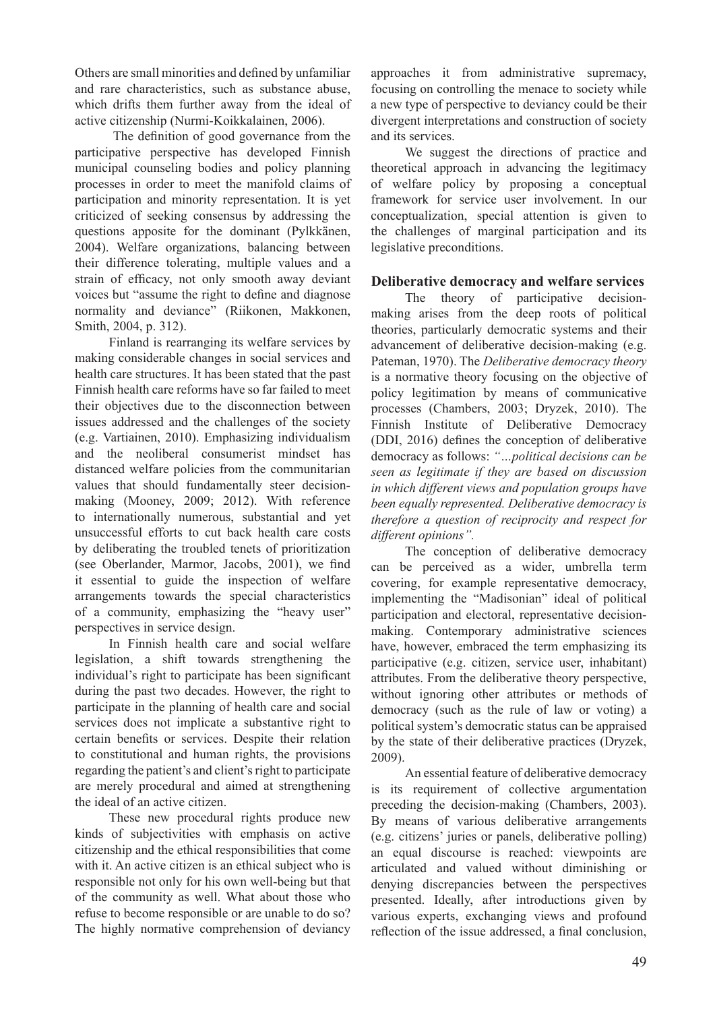Others are small minorities and defined by unfamiliar and rare characteristics, such as substance abuse, which drifts them further away from the ideal of active citizenship (Nurmi-Koikkalainen, 2006).

 The definition of good governance from the participative perspective has developed Finnish municipal counseling bodies and policy planning processes in order to meet the manifold claims of participation and minority representation. It is yet criticized of seeking consensus by addressing the questions apposite for the dominant (Pylkkänen, 2004). Welfare organizations, balancing between their difference tolerating, multiple values and a strain of efficacy, not only smooth away deviant voices but "assume the right to define and diagnose normality and deviance" (Riikonen, Makkonen, Smith, 2004, p. 312).

Finland is rearranging its welfare services by making considerable changes in social services and health care structures. It has been stated that the past Finnish health care reforms have so far failed to meet their objectives due to the disconnection between issues addressed and the challenges of the society (e.g. Vartiainen, 2010). Emphasizing individualism and the neoliberal consumerist mindset has distanced welfare policies from the communitarian values that should fundamentally steer decisionmaking (Mooney, 2009; 2012). With reference to internationally numerous, substantial and yet unsuccessful efforts to cut back health care costs by deliberating the troubled tenets of prioritization (see Oberlander, Marmor, Jacobs, 2001), we find it essential to guide the inspection of welfare arrangements towards the special characteristics of a community, emphasizing the "heavy user" perspectives in service design.

In Finnish health care and social welfare legislation, a shift towards strengthening the individual's right to participate has been significant during the past two decades. However, the right to participate in the planning of health care and social services does not implicate a substantive right to certain benefits or services. Despite their relation to constitutional and human rights, the provisions regarding the patient's and client's right to participate are merely procedural and aimed at strengthening the ideal of an active citizen.

These new procedural rights produce new kinds of subjectivities with emphasis on active citizenship and the ethical responsibilities that come with it. An active citizen is an ethical subject who is responsible not only for his own well-being but that of the community as well. What about those who refuse to become responsible or are unable to do so? The highly normative comprehension of deviancy

approaches it from administrative supremacy, focusing on controlling the menace to society while a new type of perspective to deviancy could be their divergent interpretations and construction of society and its services.

We suggest the directions of practice and theoretical approach in advancing the legitimacy of welfare policy by proposing a conceptual framework for service user involvement. In our conceptualization, special attention is given to the challenges of marginal participation and its legislative preconditions.

## **Deliberative democracy and welfare services**

The theory of participative decisionmaking arises from the deep roots of political theories, particularly democratic systems and their advancement of deliberative decision-making (e.g. Pateman, 1970). The *Deliberative democracy theory* is a normative theory focusing on the objective of policy legitimation by means of communicative processes (Chambers, 2003; Dryzek, 2010). The Finnish Institute of Deliberative Democracy (DDI, 2016) defines the conception of deliberative democracy as follows: *"…political decisions can be seen as legitimate if they are based on discussion in which different views and population groups have been equally represented. Deliberative democracy is therefore a question of reciprocity and respect for different opinions".*

The conception of deliberative democracy can be perceived as a wider, umbrella term covering, for example representative democracy, implementing the "Madisonian" ideal of political participation and electoral, representative decisionmaking. Contemporary administrative sciences have, however, embraced the term emphasizing its participative (e.g. citizen, service user, inhabitant) attributes. From the deliberative theory perspective, without ignoring other attributes or methods of democracy (such as the rule of law or voting) a political system's democratic status can be appraised by the state of their deliberative practices (Dryzek, 2009).

An essential feature of deliberative democracy is its requirement of collective argumentation preceding the decision-making (Chambers, 2003). By means of various deliberative arrangements (e.g. citizens' juries or panels, deliberative polling) an equal discourse is reached: viewpoints are articulated and valued without diminishing or denying discrepancies between the perspectives presented. Ideally, after introductions given by various experts, exchanging views and profound reflection of the issue addressed, a final conclusion,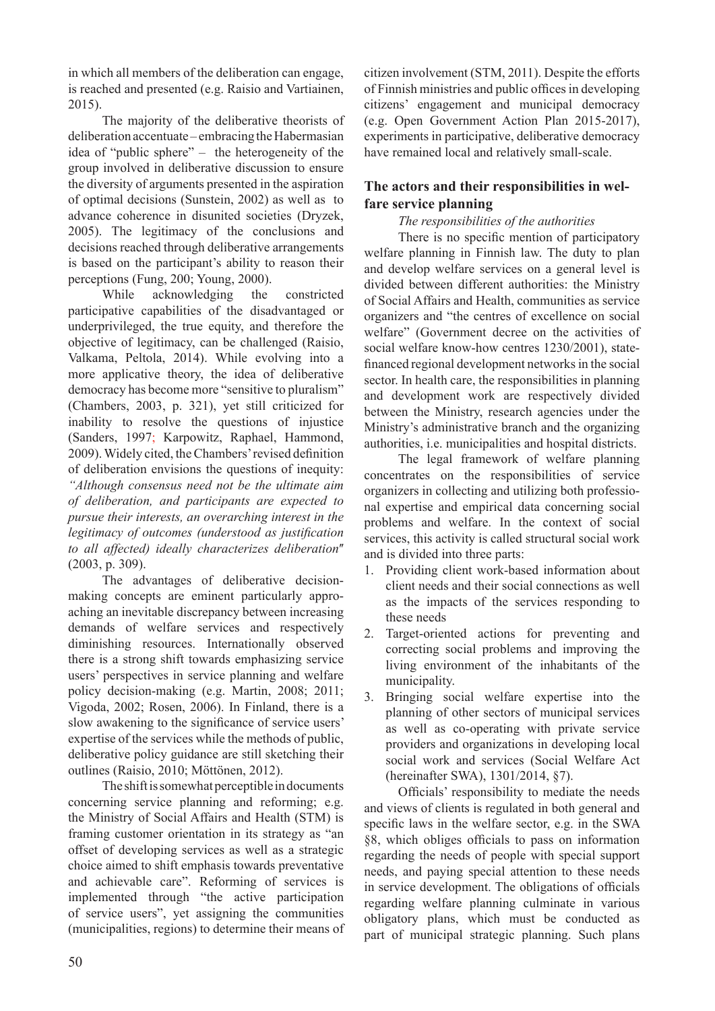in which all members of the deliberation can engage, is reached and presented (e.g. Raisio and Vartiainen, 2015).

The majority of the deliberative theorists of deliberation accentuate – embracing the Habermasian idea of "public sphere" – the heterogeneity of the group involved in deliberative discussion to ensure the diversity of arguments presented in the aspiration of optimal decisions (Sunstein, 2002) as well as to advance coherence in disunited societies (Dryzek, 2005). The legitimacy of the conclusions and decisions reached through deliberative arrangements is based on the participant's ability to reason their perceptions (Fung, 200; Young, 2000).

While acknowledging the constricted participative capabilities of the disadvantaged or underprivileged, the true equity, and therefore the objective of legitimacy, can be challenged (Raisio, Valkama, Peltola, 2014). While evolving into a more applicative theory, the idea of deliberative democracy has become more "sensitive to pluralism" (Chambers, 2003, p. 321), yet still criticized for inability to resolve the questions of injustice (Sanders, 1997; Karpowitz, Raphael, Hammond, 2009). Widely cited, the Chambers' revised definition of deliberation envisions the questions of inequity: *"Although consensus need not be the ultimate aim of deliberation, and participants are expected to pursue their interests, an overarching interest in the legitimacy of outcomes (understood as justification*  to all affected) ideally characterizes deliberation" (2003, p. 309).

The advantages of deliberative decisionmaking concepts are eminent particularly approaching an inevitable discrepancy between increasing demands of welfare services and respectively diminishing resources. Internationally observed there is a strong shift towards emphasizing service users' perspectives in service planning and welfare policy decision-making (e.g. Martin, 2008; 2011; Vigoda, 2002; Rosen, 2006). In Finland, there is a slow awakening to the significance of service users' expertise of the services while the methods of public, deliberative policy guidance are still sketching their outlines (Raisio, 2010; Möttönen, 2012).

The shift is somewhat perceptible in documents concerning service planning and reforming; e.g. the Ministry of Social Affairs and Health (STM) is framing customer orientation in its strategy as "an offset of developing services as well as a strategic choice aimed to shift emphasis towards preventative and achievable care". Reforming of services is implemented through "the active participation of service users", yet assigning the communities (municipalities, regions) to determine their means of citizen involvement (STM, 2011). Despite the efforts of Finnish ministries and public offices in developing citizens' engagement and municipal democracy (e.g. Open Government Action Plan 2015-2017), experiments in participative, deliberative democracy have remained local and relatively small-scale.

# **The actors and their responsibilities in welfare service planning**

## *The responsibilities of the authorities*

There is no specific mention of participatory welfare planning in Finnish law. The duty to plan and develop welfare services on a general level is divided between different authorities: the Ministry of Social Affairs and Health, communities as service organizers and "the centres of excellence on social welfare" (Government decree on the activities of social welfare know-how centres 1230/2001), statefinanced regional development networks in the social sector. In health care, the responsibilities in planning and development work are respectively divided between the Ministry, research agencies under the Ministry's administrative branch and the organizing authorities, i.e. municipalities and hospital districts.

The legal framework of welfare planning concentrates on the responsibilities of service organizers in collecting and utilizing both professional expertise and empirical data concerning social problems and welfare. In the context of social services, this activity is called structural social work and is divided into three parts:

- 1. Providing client work-based information about client needs and their social connections as well as the impacts of the services responding to these needs
- 2. Target-oriented actions for preventing and correcting social problems and improving the living environment of the inhabitants of the municipality.
- 3. Bringing social welfare expertise into the planning of other sectors of municipal services as well as co-operating with private service providers and organizations in developing local social work and services (Social Welfare Act (hereinafter SWA), 1301/2014, §7).

Officials' responsibility to mediate the needs and views of clients is regulated in both general and specific laws in the welfare sector, e.g. in the SWA §8, which obliges officials to pass on information regarding the needs of people with special support needs, and paying special attention to these needs in service development. The obligations of officials regarding welfare planning culminate in various obligatory plans, which must be conducted as part of municipal strategic planning. Such plans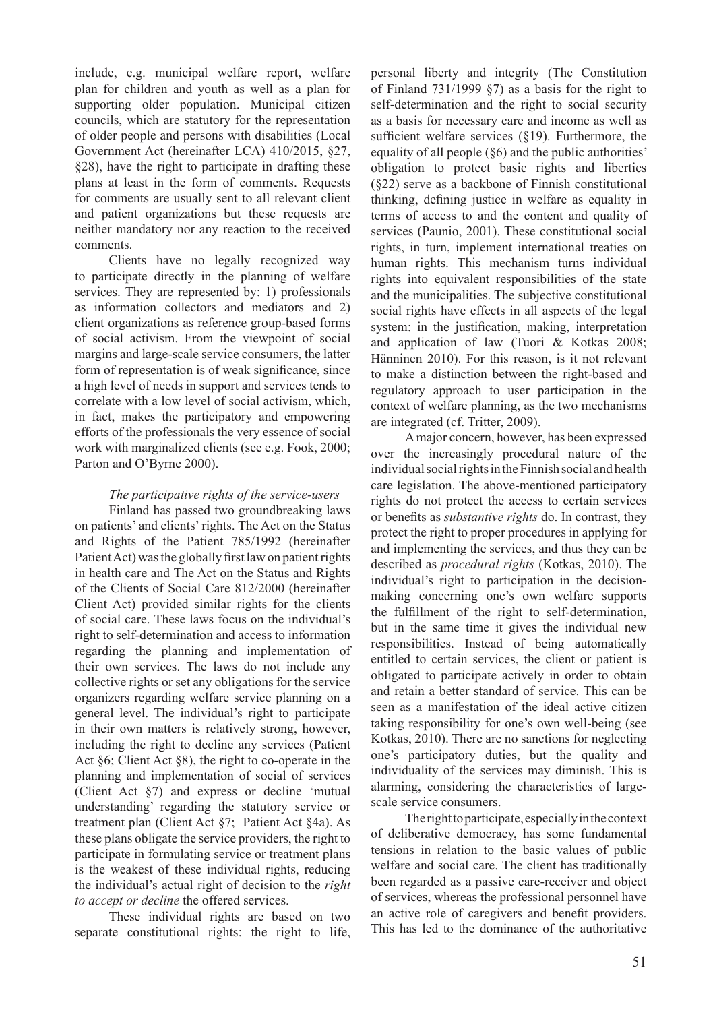include, e.g. municipal welfare report, welfare plan for children and youth as well as a plan for supporting older population. Municipal citizen councils, which are statutory for the representation of older people and persons with disabilities (Local Government Act (hereinafter LCA) 410/2015, §27, §28), have the right to participate in drafting these plans at least in the form of comments. Requests for comments are usually sent to all relevant client and patient organizations but these requests are neither mandatory nor any reaction to the received comments.

Clients have no legally recognized way to participate directly in the planning of welfare services. They are represented by: 1) professionals as information collectors and mediators and 2) client organizations as reference group-based forms of social activism. From the viewpoint of social margins and large-scale service consumers, the latter form of representation is of weak significance, since a high level of needs in support and services tends to correlate with a low level of social activism, which, in fact, makes the participatory and empowering efforts of the professionals the very essence of social work with marginalized clients (see e.g. Fook, 2000; Parton and O'Byrne 2000).

#### *The participative rights of the service-users*

Finland has passed two groundbreaking laws on patients' and clients' rights. The Act on the Status and Rights of the Patient 785/1992 (hereinafter Patient Act) was the globally first law on patient rights in health care and The Act on the Status and Rights of the Clients of Social Care 812/2000 (hereinafter Client Act) provided similar rights for the clients of social care. These laws focus on the individual's right to self-determination and access to information regarding the planning and implementation of their own services. The laws do not include any collective rights or set any obligations for the service organizers regarding welfare service planning on a general level. The individual's right to participate in their own matters is relatively strong, however, including the right to decline any services (Patient Act §6; Client Act §8), the right to co-operate in the planning and implementation of social of services (Client Act §7) and express or decline 'mutual understanding' regarding the statutory service or treatment plan (Client Act §7; Patient Act §4a). As these plans obligate the service providers, the right to participate in formulating service or treatment plans is the weakest of these individual rights, reducing the individual's actual right of decision to the *right to accept or decline* the offered services.

These individual rights are based on two separate constitutional rights: the right to life,

personal liberty and integrity (The Constitution of Finland 731/1999 §7) as a basis for the right to self-determination and the right to social security as a basis for necessary care and income as well as sufficient welfare services (§19). Furthermore, the equality of all people (§6) and the public authorities' obligation to protect basic rights and liberties (§22) serve as a backbone of Finnish constitutional thinking, defining justice in welfare as equality in terms of access to and the content and quality of services (Paunio, 2001). These constitutional social rights, in turn, implement international treaties on human rights. This mechanism turns individual rights into equivalent responsibilities of the state and the municipalities. The subjective constitutional social rights have effects in all aspects of the legal system: in the justification, making, interpretation and application of law (Tuori & Kotkas 2008; Hänninen 2010). For this reason, is it not relevant to make a distinction between the right-based and regulatory approach to user participation in the context of welfare planning, as the two mechanisms are integrated (cf. Tritter, 2009).

A major concern, however, has been expressed over the increasingly procedural nature of the individual social rights in the Finnish social and health care legislation. The above-mentioned participatory rights do not protect the access to certain services or benefits as *substantive rights* do. In contrast, they protect the right to proper procedures in applying for and implementing the services, and thus they can be described as *procedural rights* (Kotkas, 2010). The individual's right to participation in the decisionmaking concerning one's own welfare supports the fulfillment of the right to self-determination, but in the same time it gives the individual new responsibilities. Instead of being automatically entitled to certain services, the client or patient is obligated to participate actively in order to obtain and retain a better standard of service. This can be seen as a manifestation of the ideal active citizen taking responsibility for one's own well-being (see Kotkas, 2010). There are no sanctions for neglecting one's participatory duties, but the quality and individuality of the services may diminish. This is alarming, considering the characteristics of largescale service consumers.

The right to participate, especially in the context of deliberative democracy, has some fundamental tensions in relation to the basic values of public welfare and social care. The client has traditionally been regarded as a passive care-receiver and object of services, whereas the professional personnel have an active role of caregivers and benefit providers. This has led to the dominance of the authoritative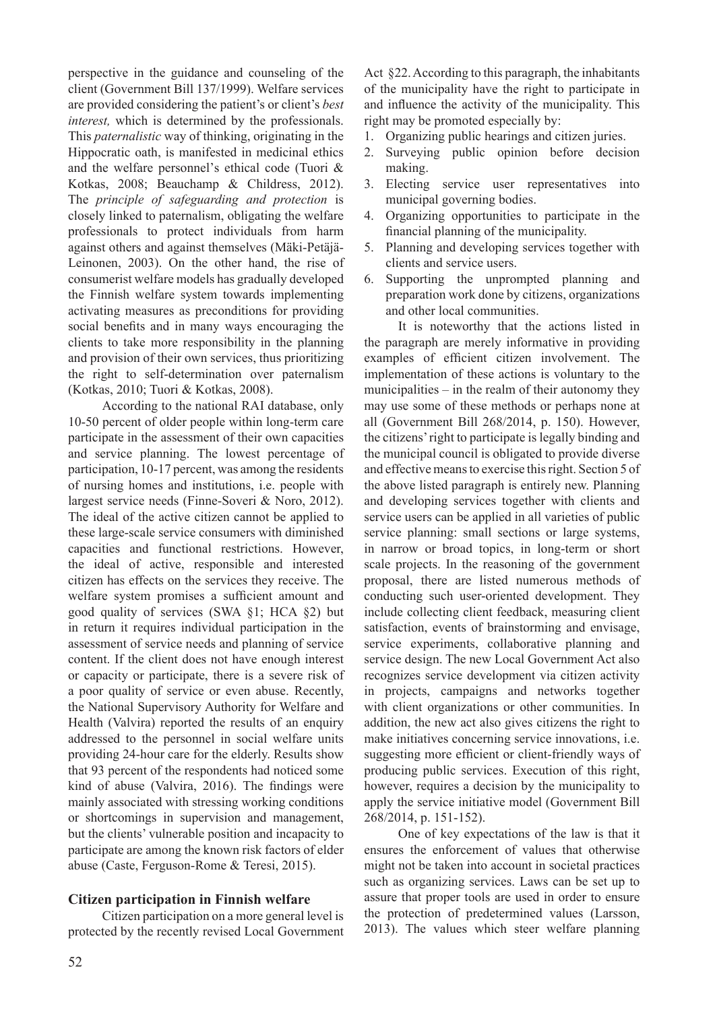perspective in the guidance and counseling of the client (Government Bill 137/1999). Welfare services are provided considering the patient's or client's *best interest,* which is determined by the professionals. This *paternalistic* way of thinking, originating in the Hippocratic oath, is manifested in medicinal ethics and the welfare personnel's ethical code (Tuori & Kotkas, 2008; Beauchamp & Childress, 2012). The *principle of safeguarding and protection* is closely linked to paternalism, obligating the welfare professionals to protect individuals from harm against others and against themselves (Mäki-Petäjä-Leinonen, 2003). On the other hand, the rise of consumerist welfare models has gradually developed the Finnish welfare system towards implementing activating measures as preconditions for providing social benefits and in many ways encouraging the clients to take more responsibility in the planning and provision of their own services, thus prioritizing the right to self-determination over paternalism (Kotkas, 2010; Tuori & Kotkas, 2008).

According to the national RAI database, only 10-50 percent of older people within long-term care participate in the assessment of their own capacities and service planning. The lowest percentage of participation, 10-17 percent, was among the residents of nursing homes and institutions, i.e. people with largest service needs (Finne-Soveri & Noro, 2012). The ideal of the active citizen cannot be applied to these large-scale service consumers with diminished capacities and functional restrictions. However, the ideal of active, responsible and interested citizen has effects on the services they receive. The welfare system promises a sufficient amount and good quality of services (SWA §1; HCA §2) but in return it requires individual participation in the assessment of service needs and planning of service content. If the client does not have enough interest or capacity or participate, there is a severe risk of a poor quality of service or even abuse. Recently, the National Supervisory Authority for Welfare and Health (Valvira) reported the results of an enquiry addressed to the personnel in social welfare units providing 24-hour care for the elderly. Results show that 93 percent of the respondents had noticed some kind of abuse (Valvira, 2016). The findings were mainly associated with stressing working conditions or shortcomings in supervision and management, but the clients' vulnerable position and incapacity to participate are among the known risk factors of elder abuse (Caste, Ferguson-Rome & Teresi, 2015).

### **Citizen participation in Finnish welfare**

Citizen participation on a more general level is protected by the recently revised Local Government Act §22. According to this paragraph, the inhabitants of the municipality have the right to participate in and influence the activity of the municipality. This right may be promoted especially by:

- 1. Organizing public hearings and citizen juries.
- 2. Surveying public opinion before decision making.
- 3. Electing service user representatives into municipal governing bodies.
- 4. Organizing opportunities to participate in the financial planning of the municipality.
- 5. Planning and developing services together with clients and service users.
- 6. Supporting the unprompted planning and preparation work done by citizens, organizations and other local communities.

It is noteworthy that the actions listed in the paragraph are merely informative in providing examples of efficient citizen involvement. The implementation of these actions is voluntary to the municipalities – in the realm of their autonomy they may use some of these methods or perhaps none at all (Government Bill 268/2014, p. 150). However, the citizens' right to participate is legally binding and the municipal council is obligated to provide diverse and effective means to exercise this right. Section 5 of the above listed paragraph is entirely new. Planning and developing services together with clients and service users can be applied in all varieties of public service planning: small sections or large systems, in narrow or broad topics, in long-term or short scale projects. In the reasoning of the government proposal, there are listed numerous methods of conducting such user-oriented development. They include collecting client feedback, measuring client satisfaction, events of brainstorming and envisage, service experiments, collaborative planning and service design. The new Local Government Act also recognizes service development via citizen activity in projects, campaigns and networks together with client organizations or other communities. In addition, the new act also gives citizens the right to make initiatives concerning service innovations, i.e. suggesting more efficient or client-friendly ways of producing public services. Execution of this right, however, requires a decision by the municipality to apply the service initiative model (Government Bill 268/2014, p. 151-152).

One of key expectations of the law is that it ensures the enforcement of values that otherwise might not be taken into account in societal practices such as organizing services. Laws can be set up to assure that proper tools are used in order to ensure the protection of predetermined values (Larsson, 2013). The values which steer welfare planning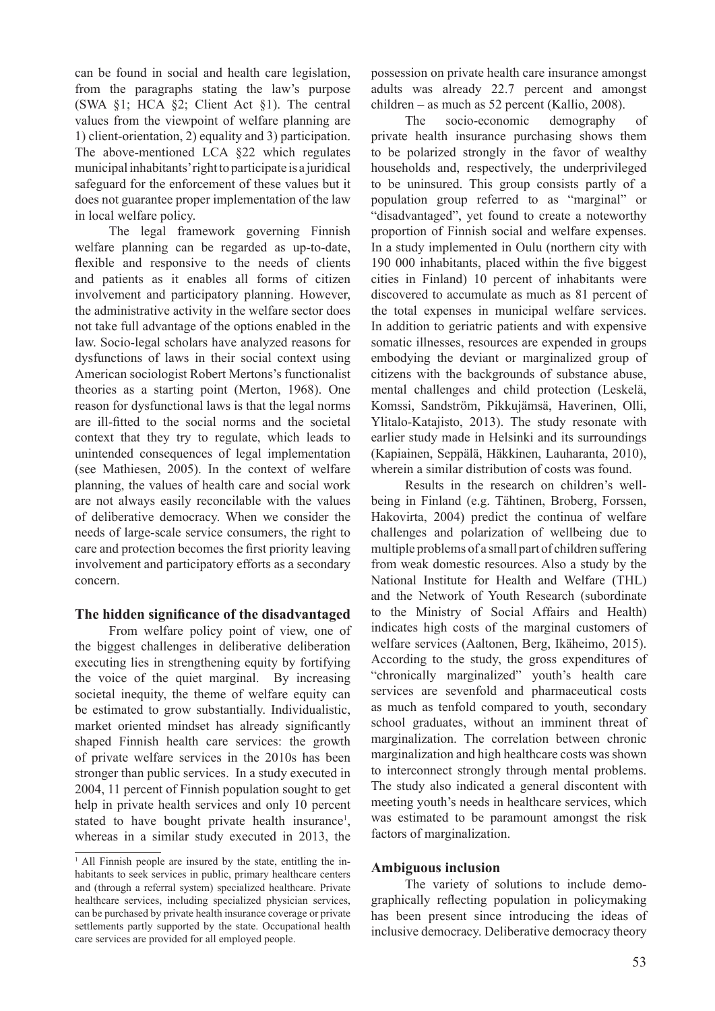can be found in social and health care legislation, from the paragraphs stating the law's purpose (SWA §1; HCA §2; Client Act §1). The central values from the viewpoint of welfare planning are 1) client-orientation, 2) equality and 3) participation. The above-mentioned LCA §22 which regulates municipal inhabitants' right to participate is a juridical safeguard for the enforcement of these values but it does not guarantee proper implementation of the law in local welfare policy.

The legal framework governing Finnish welfare planning can be regarded as up-to-date, flexible and responsive to the needs of clients and patients as it enables all forms of citizen involvement and participatory planning. However, the administrative activity in the welfare sector does not take full advantage of the options enabled in the law. Socio-legal scholars have analyzed reasons for dysfunctions of laws in their social context using American sociologist Robert Mertons's functionalist theories as a starting point (Merton, 1968). One reason for dysfunctional laws is that the legal norms are ill-fitted to the social norms and the societal context that they try to regulate, which leads to unintended consequences of legal implementation (see Mathiesen, 2005). In the context of welfare planning, the values of health care and social work are not always easily reconcilable with the values of deliberative democracy. When we consider the needs of large-scale service consumers, the right to care and protection becomes the first priority leaving involvement and participatory efforts as a secondary concern.

### **The hidden significance of the disadvantaged**

From welfare policy point of view, one of the biggest challenges in deliberative deliberation executing lies in strengthening equity by fortifying the voice of the quiet marginal. By increasing societal inequity, the theme of welfare equity can be estimated to grow substantially. Individualistic, market oriented mindset has already significantly shaped Finnish health care services: the growth of private welfare services in the 2010s has been stronger than public services. In a study executed in 2004, 11 percent of Finnish population sought to get help in private health services and only 10 percent stated to have bought private health insurance<sup>1</sup>, whereas in a similar study executed in 2013, the

possession on private health care insurance amongst adults was already 22.7 percent and amongst children – as much as 52 percent (Kallio, 2008).

The socio-economic demography of private health insurance purchasing shows them to be polarized strongly in the favor of wealthy households and, respectively, the underprivileged to be uninsured. This group consists partly of a population group referred to as "marginal" or "disadvantaged", yet found to create a noteworthy proportion of Finnish social and welfare expenses. In a study implemented in Oulu (northern city with 190 000 inhabitants, placed within the five biggest cities in Finland) 10 percent of inhabitants were discovered to accumulate as much as 81 percent of the total expenses in municipal welfare services. In addition to geriatric patients and with expensive somatic illnesses, resources are expended in groups embodying the deviant or marginalized group of citizens with the backgrounds of substance abuse, mental challenges and child protection (Leskelä, Komssi, Sandström, Pikkujämsä, Haverinen, Olli, Ylitalo-Katajisto, 2013). The study resonate with earlier study made in Helsinki and its surroundings (Kapiainen, Seppälä, Häkkinen, Lauharanta, 2010), wherein a similar distribution of costs was found.

Results in the research on children's wellbeing in Finland (e.g. Tähtinen, Broberg, Forssen, Hakovirta, 2004) predict the continua of welfare challenges and polarization of wellbeing due to multiple problems of a small part of children suffering from weak domestic resources. Also a study by the National Institute for Health and Welfare (THL) and the Network of Youth Research (subordinate to the Ministry of Social Affairs and Health) indicates high costs of the marginal customers of welfare services (Aaltonen, Berg, Ikäheimo, 2015). According to the study, the gross expenditures of "chronically marginalized" youth's health care services are sevenfold and pharmaceutical costs as much as tenfold compared to youth, secondary school graduates, without an imminent threat of marginalization. The correlation between chronic marginalization and high healthcare costs was shown to interconnect strongly through mental problems. The study also indicated a general discontent with meeting youth's needs in healthcare services, which was estimated to be paramount amongst the risk factors of marginalization.

## **Ambiguous inclusion**

The variety of solutions to include demographically reflecting population in policymaking has been present since introducing the ideas of inclusive democracy. Deliberative democracy theory

<sup>&</sup>lt;sup>1</sup> All Finnish people are insured by the state, entitling the inhabitants to seek services in public, primary healthcare centers and (through a referral system) specialized healthcare. Private healthcare services, including specialized physician services, can be purchased by private health insurance coverage or private settlements partly supported by the state. Occupational health care services are provided for all employed people.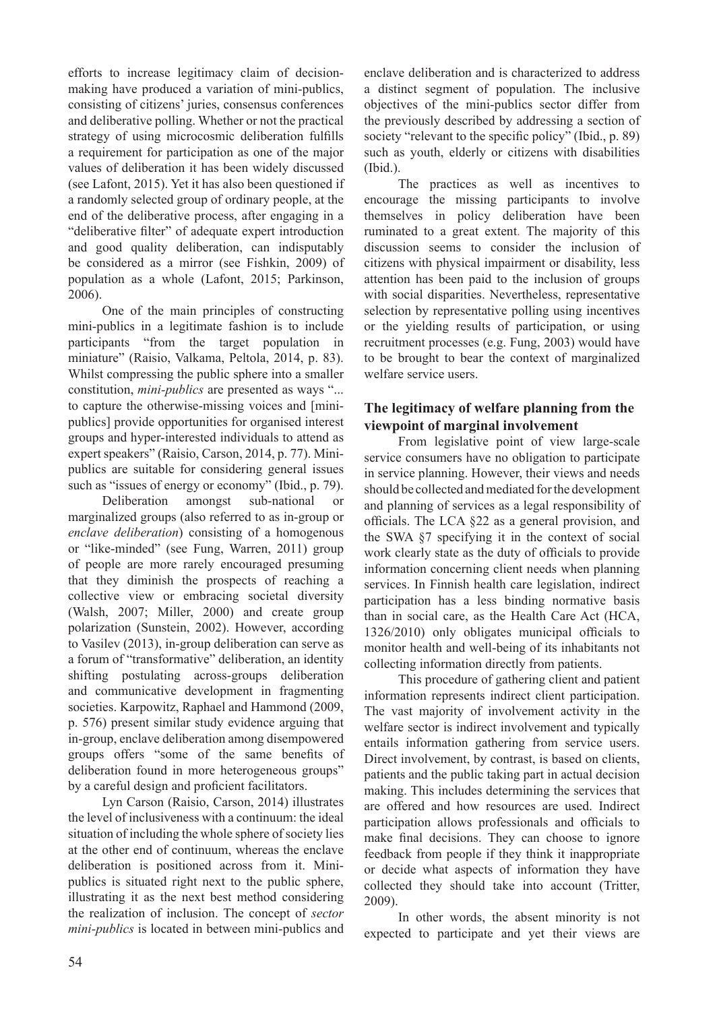efforts to increase legitimacy claim of decisionmaking have produced a variation of mini-publics, consisting of citizens' juries, consensus conferences and deliberative polling. Whether or not the practical strategy of using microcosmic deliberation fulfills a requirement for participation as one of the major values of deliberation it has been widely discussed (see Lafont, 2015). Yet it has also been questioned if a randomly selected group of ordinary people, at the end of the deliberative process, after engaging in a "deliberative filter" of adequate expert introduction and good quality deliberation, can indisputably be considered as a mirror (see Fishkin, 2009) of population as a whole (Lafont, 2015; Parkinson, 2006).

One of the main principles of constructing mini-publics in a legitimate fashion is to include participants "from the target population in miniature" (Raisio, Valkama, Peltola, 2014, p. 83). Whilst compressing the public sphere into a smaller constitution, *mini-publics* are presented as ways "... to capture the otherwise-missing voices and [minipublics] provide opportunities for organised interest groups and hyper-interested individuals to attend as expert speakers" (Raisio, Carson, 2014, p. 77). Minipublics are suitable for considering general issues such as "issues of energy or economy" (Ibid., p. 79).

Deliberation amongst sub-national or marginalized groups (also referred to as in-group or *enclave deliberation*) consisting of a homogenous or "like-minded" (see Fung, Warren, 2011) group of people are more rarely encouraged presuming that they diminish the prospects of reaching a collective view or embracing societal diversity (Walsh, 2007; Miller, 2000) and create group polarization (Sunstein, 2002). However, according to Vasilev (2013), in-group deliberation can serve as a forum of "transformative" deliberation, an identity shifting postulating across-groups deliberation and communicative development in fragmenting societies. Karpowitz, Raphael and Hammond (2009, p. 576) present similar study evidence arguing that in-group, enclave deliberation among disempowered groups offers "some of the same benefits of deliberation found in more heterogeneous groups" by a careful design and proficient facilitators.

Lyn Carson (Raisio, Carson, 2014) illustrates the level of inclusiveness with a continuum: the ideal situation of including the whole sphere of society lies at the other end of continuum, whereas the enclave deliberation is positioned across from it. Minipublics is situated right next to the public sphere, illustrating it as the next best method considering the realization of inclusion. The concept of *sector mini-publics* is located in between mini-publics and

enclave deliberation and is characterized to address a distinct segment of population. The inclusive objectives of the mini-publics sector differ from the previously described by addressing a section of society "relevant to the specific policy" (Ibid., p. 89) such as youth, elderly or citizens with disabilities (Ibid.).

The practices as well as incentives to encourage the missing participants to involve themselves in policy deliberation have been ruminated to a great extent. The majority of this discussion seems to consider the inclusion of citizens with physical impairment or disability, less attention has been paid to the inclusion of groups with social disparities. Nevertheless, representative selection by representative polling using incentives or the yielding results of participation, or using recruitment processes (e.g. Fung, 2003) would have to be brought to bear the context of marginalized welfare service users.

## **The legitimacy of welfare planning from the viewpoint of marginal involvement**

From legislative point of view large-scale service consumers have no obligation to participate in service planning. However, their views and needs should be collected and mediated for the development and planning of services as a legal responsibility of officials. The LCA §22 as a general provision, and the SWA §7 specifying it in the context of social work clearly state as the duty of officials to provide information concerning client needs when planning services. In Finnish health care legislation, indirect participation has a less binding normative basis than in social care, as the Health Care Act (HCA, 1326/2010) only obligates municipal officials to monitor health and well-being of its inhabitants not collecting information directly from patients.

This procedure of gathering client and patient information represents indirect client participation. The vast majority of involvement activity in the welfare sector is indirect involvement and typically entails information gathering from service users. Direct involvement, by contrast, is based on clients, patients and the public taking part in actual decision making. This includes determining the services that are offered and how resources are used. Indirect participation allows professionals and officials to make final decisions. They can choose to ignore feedback from people if they think it inappropriate or decide what aspects of information they have collected they should take into account (Tritter, 2009).

In other words, the absent minority is not expected to participate and yet their views are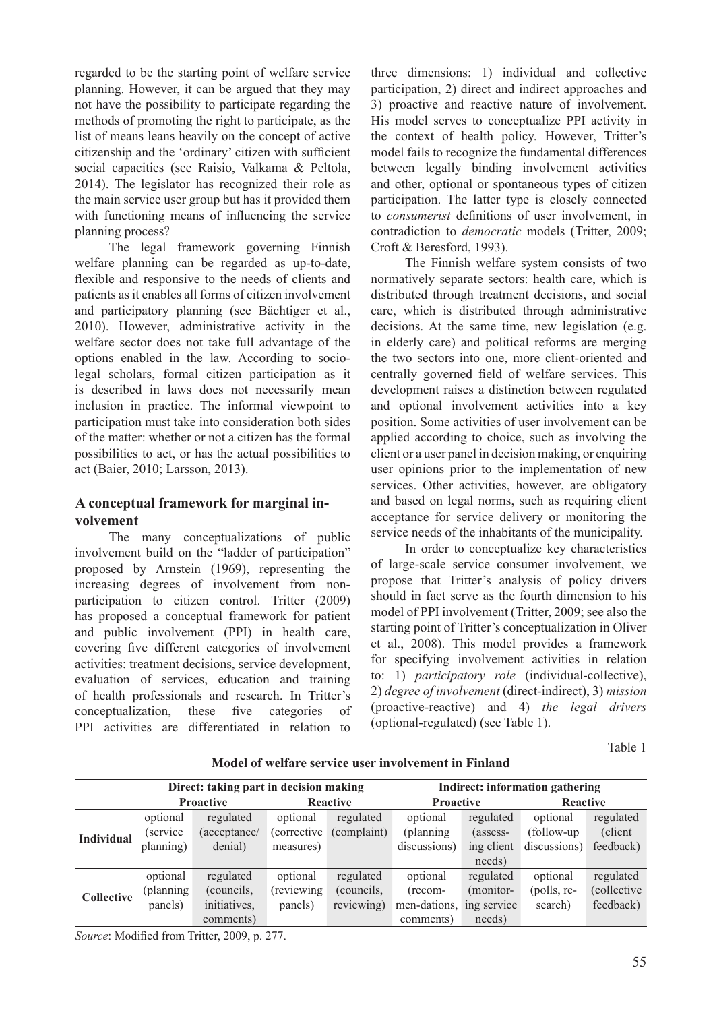regarded to be the starting point of welfare service planning. However, it can be argued that they may not have the possibility to participate regarding the methods of promoting the right to participate, as the list of means leans heavily on the concept of active citizenship and the 'ordinary' citizen with sufficient social capacities (see Raisio, Valkama & Peltola, 2014). The legislator has recognized their role as the main service user group but has it provided them with functioning means of influencing the service planning process?

The legal framework governing Finnish welfare planning can be regarded as up-to-date, flexible and responsive to the needs of clients and patients as it enables all forms of citizen involvement and participatory planning (see Bächtiger et al., 2010). However, administrative activity in the welfare sector does not take full advantage of the options enabled in the law. According to sociolegal scholars, formal citizen participation as it is described in laws does not necessarily mean inclusion in practice. The informal viewpoint to participation must take into consideration both sides of the matter: whether or not a citizen has the formal possibilities to act, or has the actual possibilities to act (Baier, 2010; Larsson, 2013).

# **A conceptual framework for marginal involvement**

The many conceptualizations of public involvement build on the "ladder of participation" proposed by Arnstein (1969), representing the increasing degrees of involvement from nonparticipation to citizen control. Tritter (2009) has proposed a conceptual framework for patient and public involvement (PPI) in health care, covering five different categories of involvement activities: treatment decisions, service development, evaluation of services, education and training of health professionals and research. In Tritter's conceptualization, these five categories of PPI activities are differentiated in relation to

three dimensions: 1) individual and collective participation, 2) direct and indirect approaches and 3) proactive and reactive nature of involvement. His model serves to conceptualize PPI activity in the context of health policy. However, Tritter's model fails to recognize the fundamental differences between legally binding involvement activities and other, optional or spontaneous types of citizen participation. The latter type is closely connected to *consumerist* definitions of user involvement, in contradiction to *democratic* models (Tritter, 2009; Croft & Beresford, 1993).

The Finnish welfare system consists of two normatively separate sectors: health care, which is distributed through treatment decisions, and social care, which is distributed through administrative decisions. At the same time, new legislation (e.g. in elderly care) and political reforms are merging the two sectors into one, more client-oriented and centrally governed field of welfare services. This development raises a distinction between regulated and optional involvement activities into a key position. Some activities of user involvement can be applied according to choice, such as involving the client or a user panel in decision making, or enquiring user opinions prior to the implementation of new services. Other activities, however, are obligatory and based on legal norms, such as requiring client acceptance for service delivery or monitoring the service needs of the inhabitants of the municipality.

In order to conceptualize key characteristics of large-scale service consumer involvement, we propose that Tritter's analysis of policy drivers should in fact serve as the fourth dimension to his model of PPI involvement (Tritter, 2009; see also the starting point of Tritter's conceptualization in Oliver et al., 2008). This model provides a framework for specifying involvement activities in relation to: 1) *participatory role* (individual-collective), 2) *degree of involvement* (direct-indirect), 3) *mission*  (proactive-reactive) and 4) *the legal drivers*  (optional-regulated) (see Table 1).

Table 1

|                   | Direct: taking part in decision making |              |                     |             | Indirect: information gathering |             |                 |                     |
|-------------------|----------------------------------------|--------------|---------------------|-------------|---------------------------------|-------------|-----------------|---------------------|
|                   | <b>Proactive</b>                       |              | <b>Reactive</b>     |             | <b>Proactive</b>                |             | <b>Reactive</b> |                     |
| <b>Individual</b> | optional                               | regulated    | optional            | regulated   | optional                        | regulated   | optional        | regulated           |
|                   | <i>service</i>                         | (acceptance/ | <i>(corrective)</i> | (complaint) | (planning)                      | (assess-    | (follow-up      | (client)            |
|                   | planning)                              | denial)      | measures)           |             | discussions)                    | ing client  | discussions)    | feedback)           |
|                   |                                        |              |                     |             |                                 | needs)      |                 |                     |
| <b>Collective</b> | optional                               | regulated    | optional            | regulated   | optional                        | regulated   | optional        | regulated           |
|                   | (planning)                             | (councils,   | (reviewing)         | (councils,  | (recom-                         | (monitor-   | (polls, re-     | <i>(collective)</i> |
|                   | panels)                                | initiatives, | panels)             | reviewing)  | men-dations,                    | ing service | search)         | feedback)           |
|                   |                                        | comments)    |                     |             | comments)                       | needs)      |                 |                     |

**Model of welfare service user involvement in Finland**

*Source*: Modified from Tritter, 2009, p. 277.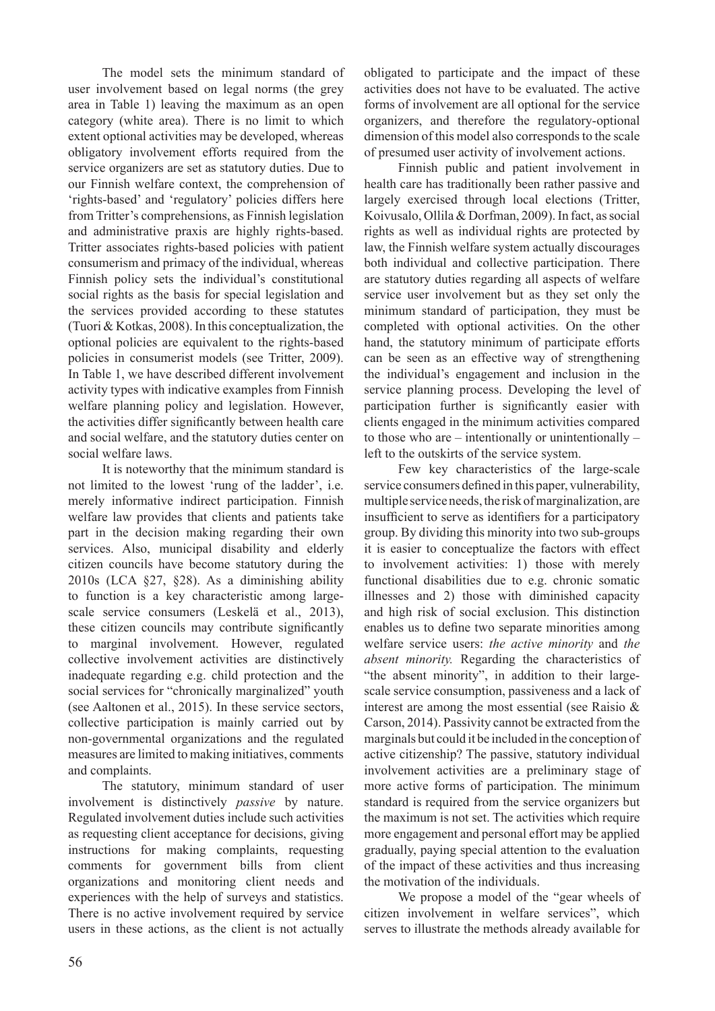The model sets the minimum standard of user involvement based on legal norms (the grey area in Table 1) leaving the maximum as an open category (white area). There is no limit to which extent optional activities may be developed, whereas obligatory involvement efforts required from the service organizers are set as statutory duties. Due to our Finnish welfare context, the comprehension of 'rights-based' and 'regulatory' policies differs here from Tritter's comprehensions, as Finnish legislation and administrative praxis are highly rights-based. Tritter associates rights-based policies with patient consumerism and primacy of the individual, whereas Finnish policy sets the individual's constitutional social rights as the basis for special legislation and the services provided according to these statutes (Tuori & Kotkas, 2008). In this conceptualization, the optional policies are equivalent to the rights-based policies in consumerist models (see Tritter, 2009). In Table 1, we have described different involvement activity types with indicative examples from Finnish welfare planning policy and legislation. However, the activities differ significantly between health care and social welfare, and the statutory duties center on social welfare laws.

It is noteworthy that the minimum standard is not limited to the lowest 'rung of the ladder', i.e. merely informative indirect participation. Finnish welfare law provides that clients and patients take part in the decision making regarding their own services. Also, municipal disability and elderly citizen councils have become statutory during the 2010s (LCA §27, §28). As a diminishing ability to function is a key characteristic among largescale service consumers (Leskelä et al., 2013), these citizen councils may contribute significantly to marginal involvement. However, regulated collective involvement activities are distinctively inadequate regarding e.g. child protection and the social services for "chronically marginalized" youth (see Aaltonen et al., 2015). In these service sectors, collective participation is mainly carried out by non-governmental organizations and the regulated measures are limited to making initiatives, comments and complaints.

The statutory, minimum standard of user involvement is distinctively *passive* by nature. Regulated involvement duties include such activities as requesting client acceptance for decisions, giving instructions for making complaints, requesting comments for government bills from client organizations and monitoring client needs and experiences with the help of surveys and statistics. There is no active involvement required by service users in these actions, as the client is not actually obligated to participate and the impact of these activities does not have to be evaluated. The active forms of involvement are all optional for the service organizers, and therefore the regulatory-optional dimension of this model also corresponds to the scale of presumed user activity of involvement actions.

Finnish public and patient involvement in health care has traditionally been rather passive and largely exercised through local elections (Tritter, Koivusalo, Ollila & Dorfman, 2009). In fact, as social rights as well as individual rights are protected by law, the Finnish welfare system actually discourages both individual and collective participation. There are statutory duties regarding all aspects of welfare service user involvement but as they set only the minimum standard of participation, they must be completed with optional activities. On the other hand, the statutory minimum of participate efforts can be seen as an effective way of strengthening the individual's engagement and inclusion in the service planning process. Developing the level of participation further is significantly easier with clients engaged in the minimum activities compared to those who are – intentionally or unintentionally – left to the outskirts of the service system.

Few key characteristics of the large-scale service consumers defined in this paper, vulnerability, multiple service needs, the risk of marginalization, are insufficient to serve as identifiers for a participatory group. By dividing this minority into two sub-groups it is easier to conceptualize the factors with effect to involvement activities: 1) those with merely functional disabilities due to e.g. chronic somatic illnesses and 2) those with diminished capacity and high risk of social exclusion. This distinction enables us to define two separate minorities among welfare service users: *the active minority* and *the absent minority.* Regarding the characteristics of "the absent minority", in addition to their largescale service consumption, passiveness and a lack of interest are among the most essential (see Raisio & Carson, 2014). Passivity cannot be extracted from the marginals but could it be included in the conception of active citizenship? The passive, statutory individual involvement activities are a preliminary stage of more active forms of participation. The minimum standard is required from the service organizers but the maximum is not set. The activities which require more engagement and personal effort may be applied gradually, paying special attention to the evaluation of the impact of these activities and thus increasing the motivation of the individuals.

We propose a model of the "gear wheels of citizen involvement in welfare services", which serves to illustrate the methods already available for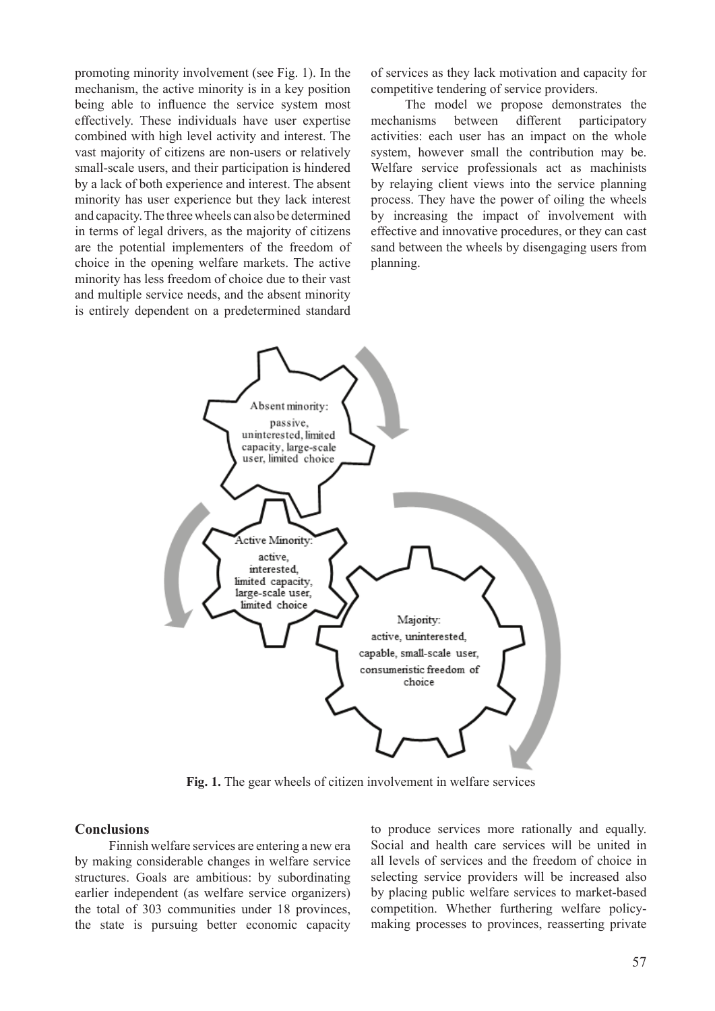promoting minority involvement (see Fig. 1). In the mechanism, the active minority is in a key position being able to influence the service system most effectively. These individuals have user expertise combined with high level activity and interest. The vast majority of citizens are non-users or relatively small-scale users, and their participation is hindered by a lack of both experience and interest. The absent minority has user experience but they lack interest and capacity. The three wheels can also be determined in terms of legal drivers, as the majority of citizens are the potential implementers of the freedom of choice in the opening welfare markets. The active minority has less freedom of choice due to their vast and multiple service needs, and the absent minority is entirely dependent on a predetermined standard

of services as they lack motivation and capacity for competitive tendering of service providers.

The model we propose demonstrates the mechanisms between different participatory activities: each user has an impact on the whole system, however small the contribution may be. Welfare service professionals act as machinists by relaying client views into the service planning process. They have the power of oiling the wheels by increasing the impact of involvement with effective and innovative procedures, or they can cast sand between the wheels by disengaging users from planning.



**Fig. 1.** The gear wheels of citizen involvement in welfare services

#### **Conclusions**

Finnish welfare services are entering a new era by making considerable changes in welfare service structures. Goals are ambitious: by subordinating earlier independent (as welfare service organizers) the total of 303 communities under 18 provinces, the state is pursuing better economic capacity

to produce services more rationally and equally. Social and health care services will be united in all levels of services and the freedom of choice in selecting service providers will be increased also by placing public welfare services to market-based competition. Whether furthering welfare policymaking processes to provinces, reasserting private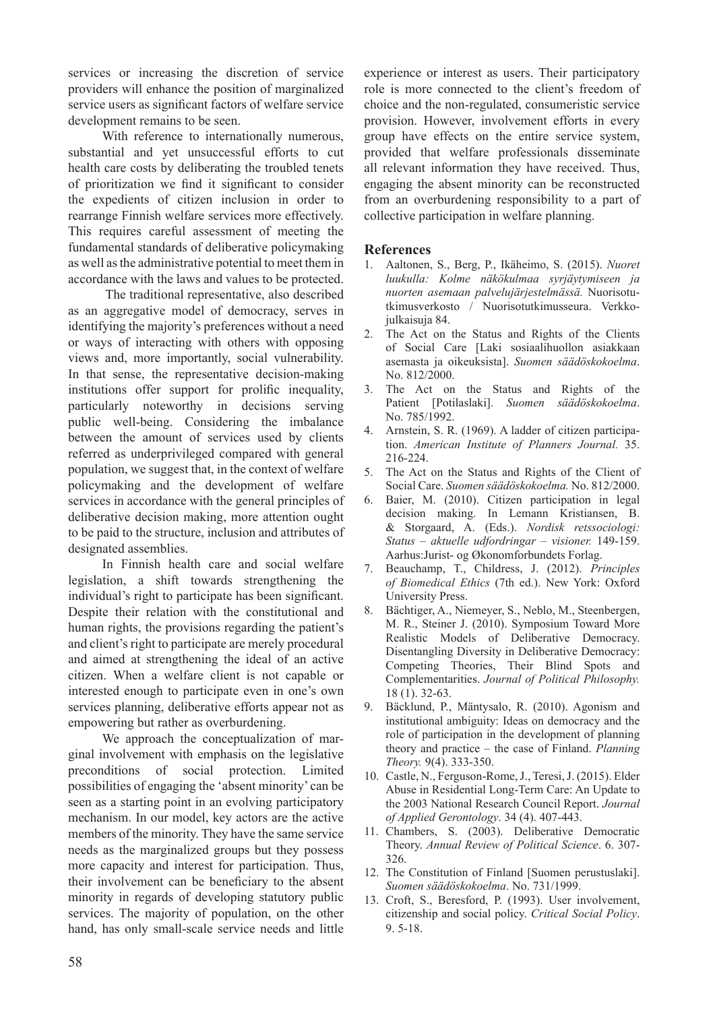services or increasing the discretion of service providers will enhance the position of marginalized service users as significant factors of welfare service development remains to be seen.

With reference to internationally numerous, substantial and yet unsuccessful efforts to cut health care costs by deliberating the troubled tenets of prioritization we find it significant to consider the expedients of citizen inclusion in order to rearrange Finnish welfare services more effectively. This requires careful assessment of meeting the fundamental standards of deliberative policymaking as well as the administrative potential to meet them in accordance with the laws and values to be protected.

 The traditional representative, also described as an aggregative model of democracy, serves in identifying the majority's preferences without a need or ways of interacting with others with opposing views and, more importantly, social vulnerability. In that sense, the representative decision-making institutions offer support for prolific inequality, particularly noteworthy in decisions serving public well-being. Considering the imbalance between the amount of services used by clients referred as underprivileged compared with general population, we suggest that, in the context of welfare policymaking and the development of welfare services in accordance with the general principles of deliberative decision making, more attention ought to be paid to the structure, inclusion and attributes of designated assemblies.

In Finnish health care and social welfare legislation, a shift towards strengthening the individual's right to participate has been significant. Despite their relation with the constitutional and human rights, the provisions regarding the patient's and client's right to participate are merely procedural and aimed at strengthening the ideal of an active citizen. When a welfare client is not capable or interested enough to participate even in one's own services planning, deliberative efforts appear not as empowering but rather as overburdening.

We approach the conceptualization of marginal involvement with emphasis on the legislative preconditions of social protection. Limited possibilities of engaging the 'absent minority' can be seen as a starting point in an evolving participatory mechanism. In our model, key actors are the active members of the minority. They have the same service needs as the marginalized groups but they possess more capacity and interest for participation. Thus, their involvement can be beneficiary to the absent minority in regards of developing statutory public services. The majority of population, on the other hand, has only small-scale service needs and little

experience or interest as users. Their participatory role is more connected to the client's freedom of choice and the non-regulated, consumeristic service provision. However, involvement efforts in every group have effects on the entire service system, provided that welfare professionals disseminate all relevant information they have received. Thus, engaging the absent minority can be reconstructed from an overburdening responsibility to a part of collective participation in welfare planning.

### **References**

- 1. Aaltonen, S., Berg, P., Ikäheimo, S. (2015). *Nuoret luukulla: Kolme näkökulmaa syrjäytymiseen ja nuorten asemaan palvelujärjestelmässä.* Nuorisotutkimusverkosto / Nuorisotutkimusseura. Verkkojulkaisuja 84.
- 2. The Act on the Status and Rights of the Clients of Social Care [Laki sosiaalihuollon asiakkaan asemasta ja oikeuksista]. *Suomen säädöskokoelma*. No. 812/2000.
- 3. The Act on the Status and Rights of the Patient [Potilaslaki]. *Suomen säädöskokoelma*. No. 785/1992.
- 4. Arnstein, S. R. (1969). A ladder of citizen participation. *American Institute of Planners Journal.* 35. 216-224.
- 5. The Act on the Status and Rights of the Client of Social Care. *Suomen säädöskokoelma.* No. 812/2000.
- 6. Baier, M. (2010). Citizen participation in legal decision making. In Lemann Kristiansen, B. & Storgaard, A. (Eds.). *Nordisk retssociologi: Status – aktuelle udfordringar – visioner.* 149-159. Aarhus:Jurist- og Økonomforbundets Forlag.
- 7. Beauchamp, T., Childress, J. (2012). *Principles of Biomedical Ethics* (7th ed.). New York: Oxford University Press.
- 8. Bächtiger, A., Niemeyer, S., Neblo, M., Steenbergen, M. R., Steiner J. (2010). Symposium Toward More Realistic Models of Deliberative Democracy. Disentangling Diversity in Deliberative Democracy: Competing Theories, Their Blind Spots and Complementarities. *Journal of Political Philosophy.* 18 (1). 32-63.
- 9. Bäcklund, P., Mäntysalo, R. (2010). Agonism and institutional ambiguity: Ideas on democracy and the role of participation in the development of planning theory and practice – the case of Finland. *Planning Theory.* 9(4). 333-350.
- 10. Castle, N., Ferguson-Rome, J., Teresi, J. (2015). Elder Abuse in Residential Long-Term Care: An Update to the 2003 National Research Council Report. *Journal of Applied Gerontology*. 34 (4). 407-443.
- 11. Chambers, S. (2003). Deliberative Democratic Theory. *Annual Review of Political Science*. 6. 307- 326.
- 12. The Constitution of Finland [Suomen perustuslaki]. *Suomen säädöskokoelma*. No. 731/1999.
- 13. Croft, S., Beresford, P. (1993). User involvement, citizenship and social policy. *Critical Social Policy*. 9. 5-18.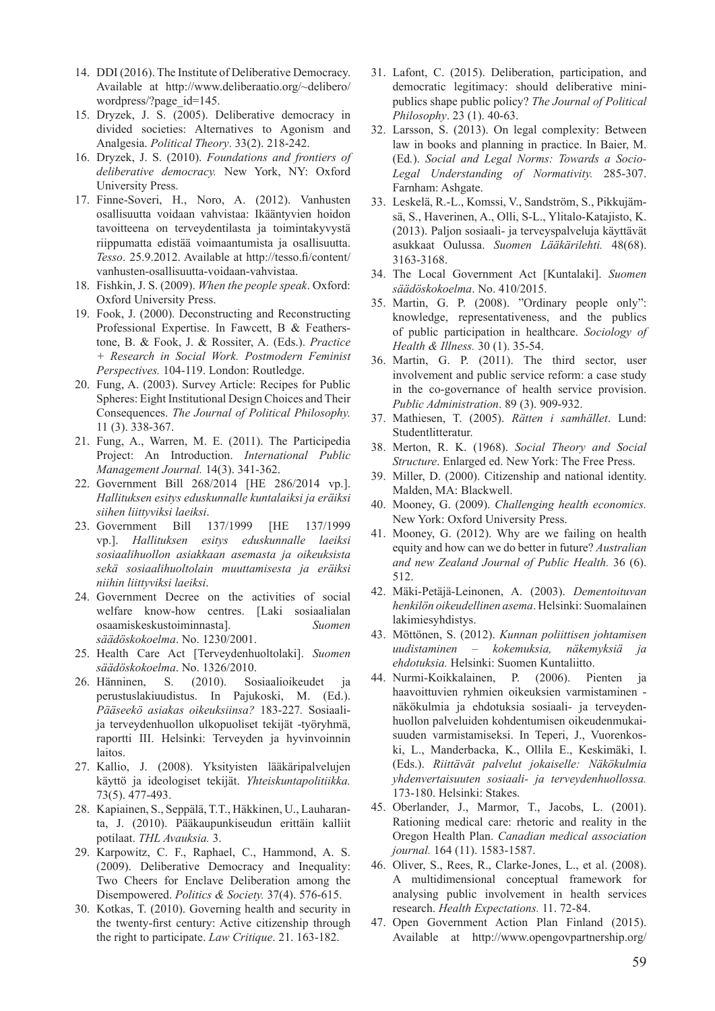- 14. DDI (2016). The Institute of Deliberative Democracy. Available at http://www.deliberaatio.org/~delibero/ wordpress/?page\_id=145.
- 15. Dryzek, J. S. (2005). Deliberative democracy in divided societies: Alternatives to Agonism and Analgesia. *Political Theory*. 33(2). 218-242.
- 16. Dryzek, J. S. (2010). *Foundations and frontiers of deliberative democracy.* New York, NY: Oxford University Press.
- 17. Finne-Soveri, H., Noro, A. (2012). Vanhusten osallisuutta voidaan vahvistaa: Ikääntyvien hoidon tavoitteena on terveydentilasta ja toimintakyvystä riippumatta edistää voimaantumista ja osallisuutta. *Tesso*. 25.9.2012. Available at http://tesso.fi/content/ vanhusten-osallisuutta-voidaan-vahvistaa.
- 18. Fishkin, J. S. (2009). *When the people speak*. Oxford: Oxford University Press.
- 19. Fook, J. (2000). Deconstructing and Reconstructing Professional Expertise. In Fawcett, B & Featherstone, B. & Fook, J. & Rossiter, A. (Eds.). *Practice + Research in Social Work. Postmodern Feminist Perspectives.* 104-119. London: Routledge.
- 20. Fung, A. (2003). Survey Article: Recipes for Public Spheres: Eight Institutional Design Choices and Their Consequences. *The Journal of Political Philosophy.* 11 (3). 338-367.
- 21. Fung, A., Warren, M. E. (2011). The Participedia Project: An Introduction. *International Public Management Journal.* 14(3). 341-362.
- 22. Government Bill 268/2014 [HE 286/2014 vp.]. *Hallituksen esitys eduskunnalle kuntalaiksi ja eräiksi siihen liittyviksi laeiksi*.
- 23. Government Bill 137/1999 [HE 137/1999 vp.]. *Hallituksen esitys eduskunnalle laeiksi sosiaalihuollon asiakkaan asemasta ja oikeuksista sekä sosiaalihuoltolain muuttamisesta ja eräiksi niihin liittyviksi laeiksi*.
- 24. Government Decree on the activities of social welfare know-how centres. [Laki sosiaalialan osaamiskeskustoiminnasta]. *Suomen säädöskokoelma*. No. 1230/2001.
- 25. Health Care Act [Terveydenhuoltolaki]. *Suomen säädöskokoelma*. No. 1326/2010.
- 26. Hänninen, S. (2010). Sosiaalioikeudet ja perustuslakiuudistus. In Pajukoski, M. (Ed.). *Pääseekö asiakas oikeuksiinsa?* 183-227*.* Sosiaalija terveydenhuollon ulkopuoliset tekijät -työryhmä, raportti III. Helsinki: Terveyden ja hyvinvoinnin laitos.
- 27. Kallio, J. (2008). Yksityisten lääkäripalvelujen käyttö ja ideologiset tekijät. *Yhteiskuntapolitiikka.* 73(5). 477-493.
- 28. Kapiainen, S., Seppälä, T.T., Häkkinen, U., Lauharanta, J. (2010). Pääkaupunkiseudun erittäin kalliit potilaat. *THL Avauksia.* 3.
- 29. Karpowitz, C. F., Raphael, C., Hammond, A. S. (2009). Deliberative Democracy and Inequality: Two Cheers for Enclave Deliberation among the Disempowered. *Politics & Society.* 37(4). 576-615.
- 30. Kotkas, T. (2010). Governing health and security in the twenty-first century: Active citizenship through the right to participate. *Law Critique*. 21. 163-182.
- 31. Lafont, C. (2015). Deliberation, participation, and democratic legitimacy: should deliberative minipublics shape public policy? *The Journal of Political Philosophy*. 23 (1). 40-63.
- 32. Larsson, S. (2013). On legal complexity: Between law in books and planning in practice. In Baier, M. (Ed*.*). *Social and Legal Norms: Towards a Socio-Legal Understanding of Normativity.* 285-307. Farnham: Ashgate.
- 33. Leskelä, R.-L., Komssi, V., Sandström, S., Pikkujämsä, S., Haverinen, A., Olli, S-L., Ylitalo-Katajisto, K. (2013). Paljon sosiaali- ja terveyspalveluja käyttävät asukkaat Oulussa. *Suomen Lääkärilehti.* 48(68). 3163-3168.
- 34. The Local Government Act [Kuntalaki]. *Suomen säädöskokoelma*. No. 410/2015.
- 35. Martin, G. P. (2008). "Ordinary people only": knowledge, representativeness, and the publics of public participation in healthcare. *Sociology of Health & Illness.* 30 (1). 35-54.
- 36. Martin, G. P. (2011). The third sector, user involvement and public service reform: a case study in the co-governance of health service provision. *Public Administration*. 89 (3). 909-932.
- 37. Mathiesen, T. (2005). *Rätten i samhället*. Lund: Studentlitteratur.
- 38. Merton, R. K. (1968). *Social Theory and Social Structure*. Enlarged ed. New York: The Free Press.
- 39. Miller, D. (2000). Citizenship and national identity. Malden, MA: Blackwell.
- 40. Mooney, G. (2009). *Challenging health economics.* New York: Oxford University Press.
- 41. Mooney, G. (2012). Why are we failing on health equity and how can we do better in future? *Australian and new Zealand Journal of Public Health.* 36 (6). 512.
- 42. Mäki-Petäjä-Leinonen, A. (2003). *Dementoituvan henkilön oikeudellinen asema*. Helsinki: Suomalainen lakimiesyhdistys.
- 43. Möttönen, S. (2012). *Kunnan poliittisen johtamisen uudistaminen – kokemuksia, näkemyksiä ja ehdotuksia.* Helsinki: Suomen Kuntaliitto.
- 44. Nurmi-Koikkalainen, P. (2006). Pienten ja haavoittuvien ryhmien oikeuksien varmistaminen näkökulmia ja ehdotuksia sosiaali- ja terveydenhuollon palveluiden kohdentumisen oikeudenmukaisuuden varmistamiseksi. In Teperi, J., Vuorenkoski, L., Manderbacka, K., Ollila E., Keskimäki, I. (Eds.). *Riittävät palvelut jokaiselle: Näkökulmia yhdenvertaisuuten sosiaali- ja terveydenhuollossa.* 173-180. Helsinki: Stakes.
- 45. Oberlander, J., Marmor, T., Jacobs, L. (2001). Rationing medical care: rhetoric and reality in the Oregon Health Plan. *Canadian medical association journal.* 164 (11). 1583-1587.
- 46. Oliver, S., Rees, R., Clarke-Jones, L., et al. (2008). A multidimensional conceptual framework for analysing public involvement in health services research. *Health Expectations.* 11. 72-84.
- 47. Open Government Action Plan Finland (2015). Available at http://www.opengovpartnership.org/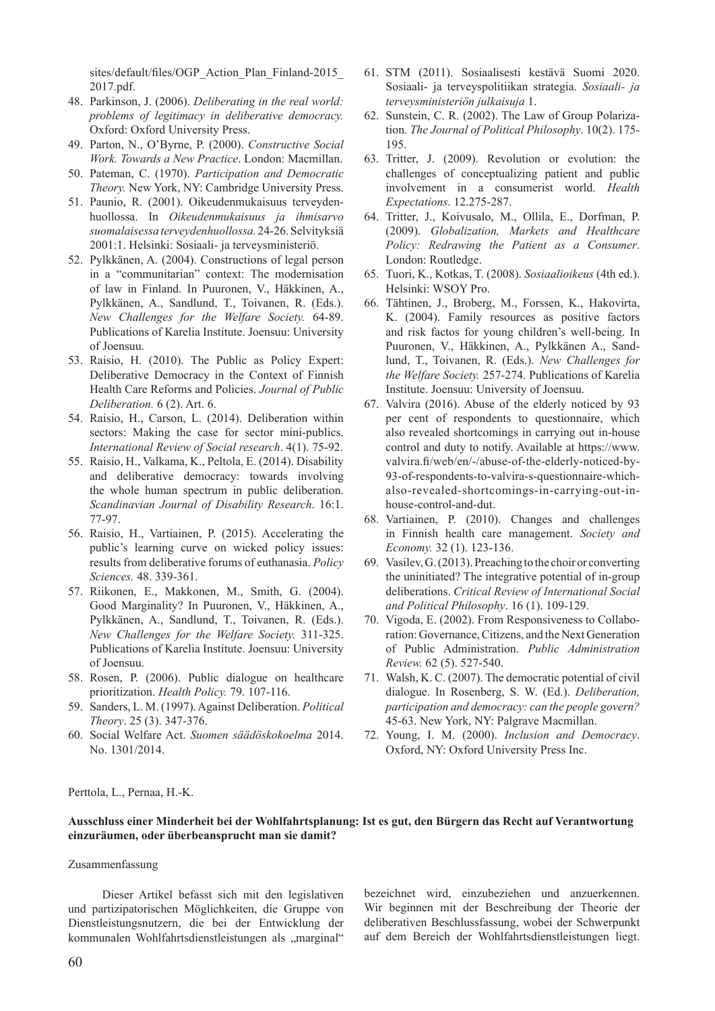sites/default/files/OGP\_Action\_Plan\_Finland-2015\_ 2017.pdf.

- 48. Parkinson, J. (2006). *Deliberating in the real world: problems of legitimacy in deliberative democracy.* Oxford: Oxford University Press.
- 49. Parton, N., O'Byrne, P. (2000). *Constructive Social Work. Towards a New Practice*. London: Macmillan.
- 50. Pateman, C. (1970). *Participation and Democratic Theory.* New York, NY: Cambridge University Press.
- 51. Paunio, R. (2001). Oikeudenmukaisuus terveydenhuollossa. In *Oikeudenmukaisuus ja ihmisarvo suomalaisessa terveydenhuollossa.* 24-26. Selvityksiä 2001:1. Helsinki: Sosiaali- ja terveysministeriö.
- 52. Pylkkänen, A. (2004). Constructions of legal person in a "communitarian" context: The modernisation of law in Finland. In Puuronen, V., Häkkinen, A., Pylkkänen, A., Sandlund, T., Toivanen, R. (Eds.). *New Challenges for the Welfare Society.* 64-89. Publications of Karelia Institute. Joensuu: University of Joensuu.
- 53. Raisio, H. (2010). The Public as Policy Expert: Deliberative Democracy in the Context of Finnish Health Care Reforms and Policies. *Journal of Public Deliberation.* 6 (2). Art. 6.
- 54. Raisio, H., Carson, L. (2014). Deliberation within sectors: Making the case for sector mini-publics. *International Review of Social research*. 4(1). 75-92.
- 55. Raisio, H., Valkama, K., Peltola, E. (2014). Disability and deliberative democracy: towards involving the whole human spectrum in public deliberation. *Scandinavian Journal of Disability Research*. 16:1. 77-97.
- 56. Raisio, H., Vartiainen, P. (2015). Accelerating the public's learning curve on wicked policy issues: results from deliberative forums of euthanasia. *Policy Sciences.* 48. 339-361.
- 57. Riikonen, E., Makkonen, M., Smith, G. (2004). Good Marginality? In Puuronen, V., Häkkinen, A., Pylkkänen, A., Sandlund, T., Toivanen, R. (Eds.). *New Challenges for the Welfare Society.* 311-325. Publications of Karelia Institute. Joensuu: University of Joensuu.
- 58. Rosen, P. (2006). Public dialogue on healthcare prioritization. *Health Policy.* 79. 107-116.
- 59. Sanders, L. M. (1997). Against Deliberation. *Political Theory*. 25 (3). 347-376.
- 60. Social Welfare Act. *Suomen säädöskokoelma* 2014. No. 1301/2014.
- 61. STM (2011). Sosiaalisesti kestävä Suomi 2020. Sosiaali- ja terveyspolitiikan strategia. *Sosiaali- ja terveysministeriön julkaisuja* 1.
- 62. Sunstein, C. R. (2002). The Law of Group Polarization. *The Journal of Political Philosophy*. 10(2). 175- 195.
- 63. Tritter, J. (2009). Revolution or evolution: the challenges of conceptualizing patient and public involvement in a consumerist world. *Health Expectations*. 12.275-287.
- 64. Tritter, J., Koivusalo, M., Ollila, E., Dorfman, P. (2009). *Globalization, Markets and Healthcare Policy: Redrawing the Patient as a Consumer*. London: Routledge.
- 65. Tuori, K., Kotkas, T. (2008). *Sosiaalioikeus* (4th ed.). Helsinki: WSOY Pro.
- 66. Tähtinen, J., Broberg, M., Forssen, K., Hakovirta, K. (2004). Family resources as positive factors and risk factos for young children's well-being. In Puuronen, V., Häkkinen, A., Pylkkänen A., Sandlund, T., Toivanen, R. (Eds.). *New Challenges for the Welfare Society.* 257-274. Publications of Karelia Institute. Joensuu: University of Joensuu.
- 67. Valvira (2016). Abuse of the elderly noticed by 93 per cent of respondents to questionnaire, which also revealed shortcomings in carrying out in-house control and duty to notify. Available at https://www. valvira.fi/web/en/-/abuse-of-the-elderly-noticed-by-93-of-respondents-to-valvira-s-questionnaire-whichalso-revealed-shortcomings-in-carrying-out-inhouse-control-and-dut.
- 68. Vartiainen, P. (2010). Changes and challenges in Finnish health care management. *Society and Economy.* 32 (1). 123-136.
- 69. Vasilev, G. (2013). Preaching to the choir or converting the uninitiated? The integrative potential of in-group deliberations. *Critical Review of International Social and Political Philosophy*. 16 (1). 109-129.
- 70. Vigoda, E. (2002). From Responsiveness to Collaboration: Governance, Citizens, and the Next Generation of Public Administration. *Public Administration Review.* 62 (5). 527-540.
- 71. Walsh, K. C. (2007). The democratic potential of civil dialogue. In Rosenberg, S. W. (Ed.). *Deliberation, participation and democracy: can the people govern?*  45-63. New York, NY: Palgrave Macmillan.
- 72. Young, I. M. (2000). *Inclusion and Democracy*. Oxford, NY: Oxford University Press Inc.

Perttola, L., Pernaa, H.-K.

#### **Ausschluss einer Minderheit bei der Wohlfahrtsplanung: Ist es gut, den Bürgern das Recht auf Verantwortung einzuräumen, oder überbeansprucht man sie damit?**

#### Zusammenfassung

Dieser Artikel befasst sich mit den legislativen und partizipatorischen Möglichkeiten, die Gruppe von Dienstleistungsnutzern, die bei der Entwicklung der kommunalen Wohlfahrtsdienstleistungen als "marginal"

bezeichnet wird, einzubeziehen und anzuerkennen. Wir beginnen mit der Beschreibung der Theorie der deliberativen Beschlussfassung, wobei der Schwerpunkt auf dem Bereich der Wohlfahrtsdienstleistungen liegt.